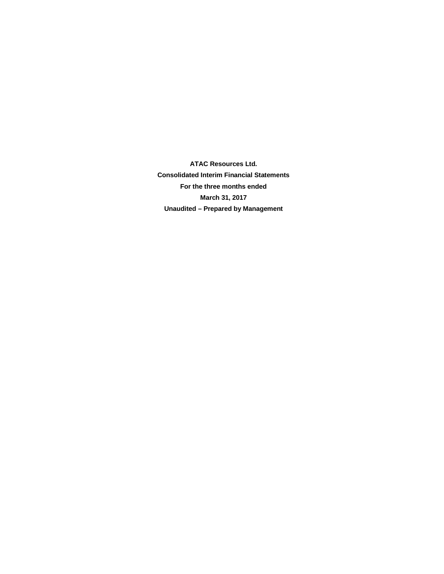**ATAC Resources Ltd. Consolidated Interim Financial Statements For the three months ended March 31, 2017 Unaudited – Prepared by Management**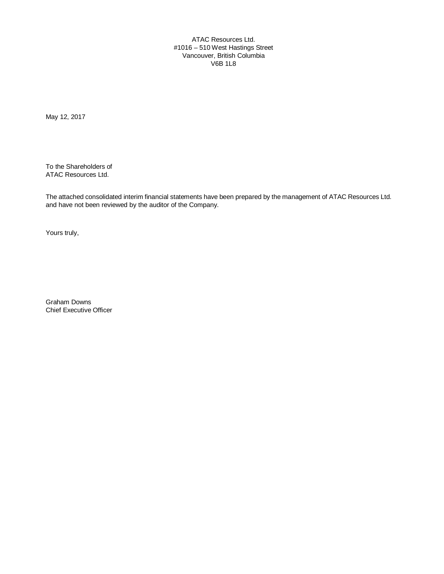ATAC Resources Ltd. #1016 – 510 West Hastings Street Vancouver, British Columbia V6B 1L8

May 12, 2017

To the Shareholders of ATAC Resources Ltd.

The attached consolidated interim financial statements have been prepared by the management of ATAC Resources Ltd. and have not been reviewed by the auditor of the Company.

Yours truly,

Graham Downs Chief Executive Officer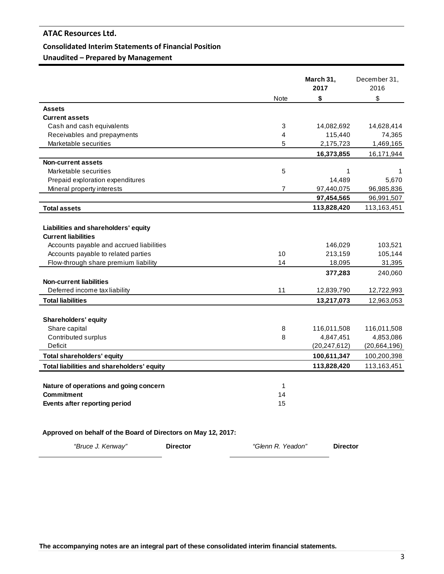# **Consolidated Interim Statements of Financial Position**

**Unaudited – Prepared by Management**

|                                             | March 31,<br>2017 | December 31,<br>2016 |
|---------------------------------------------|-------------------|----------------------|
| <b>Note</b>                                 | \$                | \$                   |
| <b>Assets</b>                               |                   |                      |
| <b>Current assets</b>                       |                   |                      |
| Cash and cash equivalents<br>3              | 14,082,692        | 14,628,414           |
| Receivables and prepayments<br>4            | 115,440           | 74,365               |
| Marketable securities<br>5                  | 2,175,723         | 1,469,165            |
|                                             | 16,373,855        | 16,171,944           |
| Non-current assets                          |                   |                      |
| 5<br>Marketable securities                  | 1                 | 1                    |
| Prepaid exploration expenditures            | 14,489            | 5,670                |
| Mineral property interests<br>7             | 97,440,075        | 96,985,836           |
|                                             | 97,454,565        | 96,991,507           |
| <b>Total assets</b>                         | 113,828,420       | 113,163,451          |
|                                             |                   |                      |
| Liabilities and shareholders' equity        |                   |                      |
| <b>Current liabilities</b>                  |                   |                      |
| Accounts payable and accrued liabilities    | 146,029           | 103,521              |
| Accounts payable to related parties<br>10   | 213,159           | 105,144              |
| Flow-through share premium liability<br>14  | 18,095            | 31,395               |
|                                             | 377,283           | 240,060              |
| <b>Non-current liabilities</b>              |                   |                      |
| 11<br>Deferred income tax liability         | 12,839,790        | 12,722,993           |
| <b>Total liabilities</b>                    | 13,217,073        | 12,963,053           |
|                                             |                   |                      |
| <b>Shareholders' equity</b>                 |                   |                      |
| Share capital<br>8                          | 116,011,508       | 116,011,508          |
| 8<br>Contributed surplus                    | 4,847,451         | 4,853,086            |
| Deficit                                     | (20, 247, 612)    | (20,664,196)         |
| <b>Total shareholders' equity</b>           | 100,611,347       | 100,200,398          |
| Total liabilities and shareholders' equity  | 113,828,420       | 113,163,451          |
|                                             |                   |                      |
| Nature of operations and going concern<br>1 |                   |                      |
| <b>Commitment</b><br>14                     |                   |                      |
| Events after reporting period<br>15         |                   |                      |

# **Approved on behalf of the Board of Directors on May 12, 2017:**

| "Bruce J. Kenway" | <b>Director</b> | "Glenn R. Yeadon" | <b>Director</b> |
|-------------------|-----------------|-------------------|-----------------|
|                   |                 |                   |                 |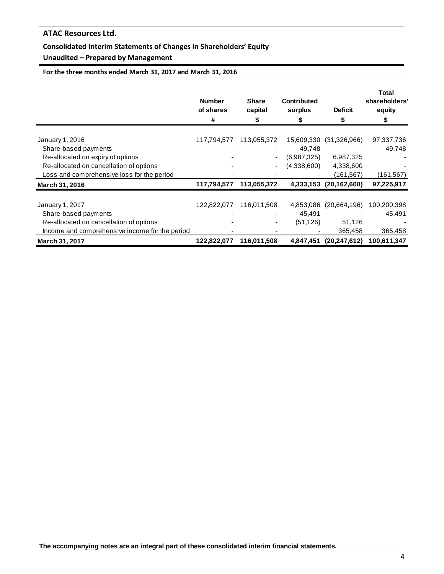# **Consolidated Interim Statements of Changes in Shareholders' Equity**

# **Unaudited – Prepared by Management**

**For the three months ended March 31, 2017 and March 31, 2016**

|                                                | <b>Number</b><br>of shares<br># | <b>Share</b><br>capital<br>\$ | <b>Contributed</b><br>surplus | <b>Deficit</b><br>\$   | <b>Total</b><br>shareholders'<br>equity<br>\$ |
|------------------------------------------------|---------------------------------|-------------------------------|-------------------------------|------------------------|-----------------------------------------------|
| January 1, 2016                                | 117,794,577                     | 113,055,372                   | 15,609,330                    | (31,326,966)           | 97,337,736                                    |
| Share-based payments                           |                                 |                               | 49,748                        |                        | 49,748                                        |
| Re-allocated on expiry of options              |                                 |                               | (6,987,325)                   | 6,987,325              |                                               |
| Re-allocated on cancellation of options        |                                 |                               | (4,338,600)                   | 4,338,600              |                                               |
| Loss and comprehensive loss for the period     |                                 |                               |                               | (161, 567)             | (161, 567)                                    |
| March 31, 2016                                 | 117,794,577                     | 113,055,372                   |                               | 4,333,153 (20,162,608) | 97,225,917                                    |
| January 1, 2017                                | 122,822,077                     | 116,011,508                   | 4,853,086                     | (20,664,196)           | 100,200,398                                   |
| Share-based payments                           |                                 |                               | 45,491                        |                        | 45,491                                        |
| Re-allocated on cancellation of options        |                                 |                               | (51, 126)                     | 51,126                 |                                               |
| Income and comprehensive income for the period |                                 |                               |                               | 365,458                | 365,458                                       |
| March 31, 2017                                 | 122,822,077                     | 116,011,508                   |                               | 4,847,451 (20,247,612) | 100,611,347                                   |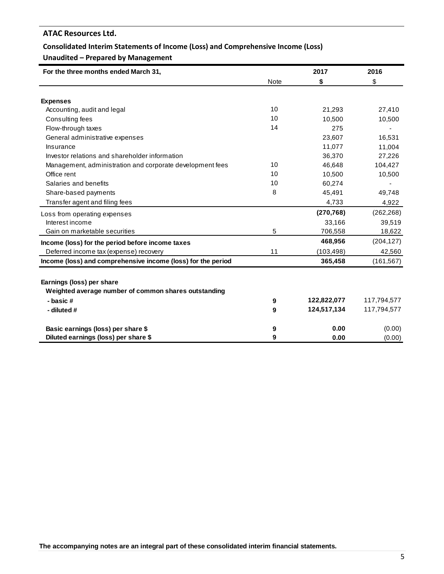# **Consolidated Interim Statements of Income (Loss) and Comprehensive Income (Loss)**

# **Unaudited – Prepared by Management**

| For the three months ended March 31,                         |             | 2017        | 2016        |
|--------------------------------------------------------------|-------------|-------------|-------------|
|                                                              | <b>Note</b> | \$          | \$          |
|                                                              |             |             |             |
| <b>Expenses</b>                                              |             |             |             |
| Accounting, audit and legal                                  | 10          | 21,293      | 27,410      |
| Consulting fees                                              | 10          | 10,500      | 10,500      |
| Flow-through taxes                                           | 14          | 275         |             |
| General administrative expenses                              |             | 23,607      | 16,531      |
| Insurance                                                    |             | 11,077      | 11,004      |
| Investor relations and shareholder information               |             | 36,370      | 27,226      |
| Management, administration and corporate development fees    | 10          | 46,648      | 104,427     |
| Office rent                                                  | 10          | 10,500      | 10,500      |
| Salaries and benefits                                        | 10          | 60,274      |             |
| Share-based payments                                         | 8           | 45,491      | 49,748      |
| Transfer agent and filing fees                               |             | 4,733       | 4,922       |
| Loss from operating expenses                                 |             | (270, 768)  | (262, 268)  |
| Interest income                                              |             | 33,166      | 39,519      |
| Gain on marketable securities                                | 5           | 706,558     | 18,622      |
| Income (loss) for the period before income taxes             |             | 468,956     | (204, 127)  |
| Deferred income tax (expense) recovery                       | 11          | (103, 498)  | 42,560      |
| Income (loss) and comprehensive income (loss) for the period |             | 365,458     | (161, 567)  |
|                                                              |             |             |             |
| Earnings (loss) per share                                    |             |             |             |
| Weighted average number of common shares outstanding         |             |             |             |
| - basic#                                                     | 9           | 122,822,077 | 117,794,577 |
| - diluted #                                                  | 9           | 124,517,134 | 117,794,577 |
| Basic earnings (loss) per share \$                           | 9           | 0.00        | (0.00)      |
| Diluted earnings (loss) per share \$                         | 9           | 0.00        | (0.00)      |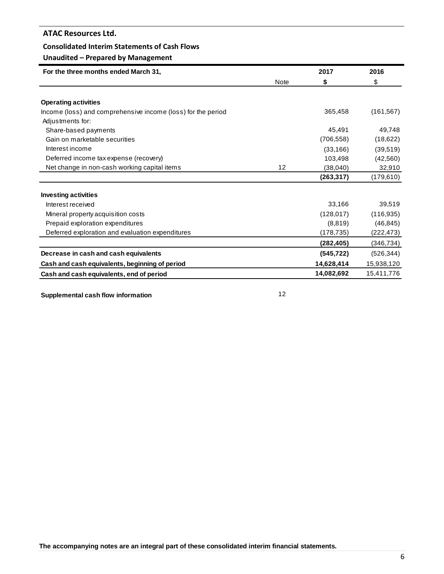# **Consolidated Interim Statements of Cash Flows**

# **Unaudited – Prepared by Management**

| For the three months ended March 31,                         |             | 2017       | 2016       |
|--------------------------------------------------------------|-------------|------------|------------|
|                                                              | <b>Note</b> | \$         | \$         |
|                                                              |             |            |            |
| <b>Operating activities</b>                                  |             |            |            |
| Income (loss) and comprehensive income (loss) for the period |             | 365,458    | (161, 567) |
| Adjustments for:                                             |             |            |            |
| Share-based payments                                         |             | 45,491     | 49,748     |
| Gain on marketable securities                                |             | (706, 558) | (18, 622)  |
| Interest income                                              |             | (33, 166)  | (39, 519)  |
| Deferred income tax expense (recovery)                       |             | 103,498    | (42, 560)  |
| Net change in non-cash working capital items                 | 12          | (38,040)   | 32,910     |
|                                                              |             | (263, 317) | (179,610)  |
| <b>Investing activities</b>                                  |             |            |            |
| Interest received                                            |             | 33,166     | 39,519     |
| Mineral property acquisition costs                           |             | (128, 017) | (116, 935) |
| Prepaid exploration expenditures                             |             | (8,819)    | (46, 845)  |
| Deferred exploration and evaluation expenditures             |             | (178, 735) | (222, 473) |
|                                                              |             | (282,405)  | (346, 734) |
| Decrease in cash and cash equivalents                        |             | (545, 722) | (526, 344) |
| Cash and cash equivalents, beginning of period               |             | 14,628,414 | 15,938,120 |
| Cash and cash equivalents, end of period                     |             | 14,082,692 | 15,411,776 |

**Supplemental cash flow information** 12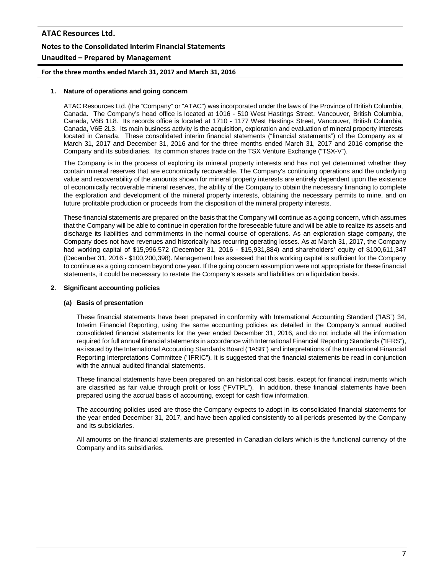# **ATAC Resources Ltd. Notes to the Consolidated Interim Financial Statements Unaudited – Prepared by Management**

**For the three months ended March 31, 2017 and March 31, 2016**

## **1. Nature of operations and going concern**

ATAC Resources Ltd. (the "Company" or "ATAC") was incorporated under the laws of the Province of British Columbia, Canada. The Company's head office is located at 1016 - 510 West Hastings Street, Vancouver, British Columbia, Canada, V6B 1L8. Its records office is located at 1710 - 1177 West Hastings Street, Vancouver, British Columbia, Canada, V6E 2L3. Its main business activity is the acquisition, exploration and evaluation of mineral property interests located in Canada. These consolidated interim financial statements ("financial statements") of the Company as at March 31, 2017 and December 31, 2016 and for the three months ended March 31, 2017 and 2016 comprise the Company and its subsidiaries. Its common shares trade on the TSX Venture Exchange ("TSX-V").

The Company is in the process of exploring its mineral property interests and has not yet determined whether they contain mineral reserves that are economically recoverable. The Company's continuing operations and the underlying value and recoverability of the amounts shown for mineral property interests are entirely dependent upon the existence of economically recoverable mineral reserves, the ability of the Company to obtain the necessary financing to complete the exploration and development of the mineral property interests, obtaining the necessary permits to mine, and on future profitable production or proceeds from the disposition of the mineral property interests.

These financial statements are prepared on the basis that the Company will continue as a going concern, which assumes that the Company will be able to continue in operation for the foreseeable future and will be able to realize its assets and discharge its liabilities and commitments in the normal course of operations. As an exploration stage company, the Company does not have revenues and historically has recurring operating losses. As at March 31, 2017, the Company had working capital of \$15,996,572 (December 31, 2016 - \$15,931,884) and shareholders' equity of \$100,611,347 (December 31, 2016 - \$100,200,398). Management has assessed that this working capital is sufficient for the Company to continue as a going concern beyond one year. If the going concern assumption were not appropriate for these financial statements, it could be necessary to restate the Company's assets and liabilities on a liquidation basis.

#### **2. Significant accounting policies**

# **(a) Basis of presentation**

These financial statements have been prepared in conformity with International Accounting Standard ("IAS") 34, Interim Financial Reporting, using the same accounting policies as detailed in the Company's annual audited consolidated financial statements for the year ended December 31, 2016, and do not include all the information required for full annual financial statements in accordance with International Financial Reporting Standards ("IFRS"), as issued by the International Accounting Standards Board ("IASB") and interpretations of the International Financial Reporting Interpretations Committee ("IFRIC"). It is suggested that the financial statements be read in conjunction with the annual audited financial statements.

These financial statements have been prepared on an historical cost basis, except for financial instruments which are classified as fair value through profit or loss ("FVTPL"). In addition, these financial statements have been prepared using the accrual basis of accounting, except for cash flow information.

The accounting policies used are those the Company expects to adopt in its consolidated financial statements for the year ended December 31, 2017, and have been applied consistently to all periods presented by the Company and its subsidiaries.

All amounts on the financial statements are presented in Canadian dollars which is the functional currency of the Company and its subsidiaries.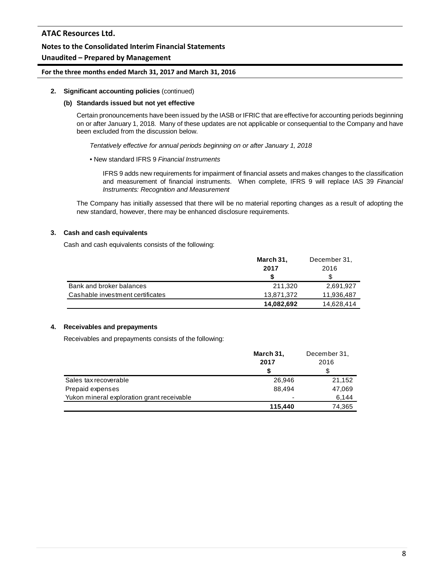# **Unaudited – Prepared by Management**

## **For the three months ended March 31, 2017 and March 31, 2016**

#### **2. Significant accounting policies** (continued)

#### **(b) Standards issued but not yet effective**

Certain pronouncements have been issued by the IASB or IFRIC that are effective for accounting periods beginning on or after January 1, 2018. Many of these updates are not applicable or consequential to the Company and have been excluded from the discussion below.

*Tentatively effective for annual periods beginning on or after January 1, 2018*

#### • New standard IFRS 9 *Financial Instruments*

IFRS 9 adds new requirements for impairment of financial assets and makes changes to the classification and measurement of financial instruments. When complete, IFRS 9 will replace IAS 39 *Financial Instruments: Recognition and Measurement*

The Company has initially assessed that there will be no material reporting changes as a result of adopting the new standard, however, there may be enhanced disclosure requirements.

#### **3. Cash and cash equivalents**

Cash and cash equivalents consists of the following:

|                                  | March 31,  | December 31, |
|----------------------------------|------------|--------------|
|                                  | 2017       | 2016         |
|                                  | S          |              |
| Bank and broker balances         | 211.320    | 2,691,927    |
| Cashable investment certificates | 13,871,372 | 11,936,487   |
|                                  | 14,082,692 | 14,628,414   |

#### **4. Receivables and prepayments**

Receivables and prepayments consists of the following:

|                                            | March 31,                | December 31, |
|--------------------------------------------|--------------------------|--------------|
|                                            | 2016<br>2017             |              |
|                                            |                          |              |
| Sales tax recoverable                      | 26,946                   | 21,152       |
| Prepaid expenses                           | 88.494                   | 47,069       |
| Yukon mineral exploration grant receivable | $\overline{\phantom{0}}$ | 6,144        |
|                                            | 115,440                  | 74,365       |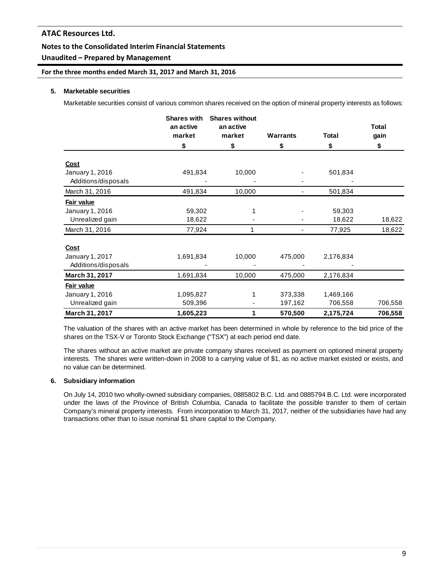# **Unaudited – Prepared by Management**

**For the three months ended March 31, 2017 and March 31, 2016**

# **5. Marketable securities**

Marketable securities consist of various common shares received on the option of mineral property interests as follows:

|                     | <b>Shares with</b><br>an active | <b>Shares without</b><br>an active |                 |              | <b>Total</b> |
|---------------------|---------------------------------|------------------------------------|-----------------|--------------|--------------|
|                     | market                          | market                             | <b>Warrants</b> | <b>Total</b> | gain         |
|                     | \$                              | \$                                 | \$              | \$           | \$           |
| <b>Cost</b>         |                                 |                                    |                 |              |              |
| January 1, 2016     | 491,834                         | 10,000                             |                 | 501,834      |              |
| Additions/disposals |                                 |                                    |                 |              |              |
| March 31, 2016      | 491,834                         | 10,000                             | -               | 501,834      |              |
| Fair value          |                                 |                                    |                 |              |              |
| January 1, 2016     | 59,302                          |                                    |                 | 59,303       |              |
| Unrealized gain     | 18,622                          |                                    |                 | 18,622       | 18,622       |
| March 31, 2016      | 77,924                          |                                    |                 | 77,925       | 18,622       |
| <b>Cost</b>         |                                 |                                    |                 |              |              |
| January 1, 2017     | 1,691,834                       | 10,000                             | 475,000         | 2,176,834    |              |
| Additions/disposals |                                 |                                    |                 |              |              |
| March 31, 2017      | 1,691,834                       | 10,000                             | 475,000         | 2,176,834    |              |
| Fair value          |                                 |                                    |                 |              |              |
| January 1, 2016     | 1,095,827                       |                                    | 373,338         | 1,469,166    |              |
| Unrealized gain     | 509,396                         |                                    | 197,162         | 706,558      | 706,558      |
| March 31, 2017      | 1,605,223                       | 1                                  | 570,500         | 2,175,724    | 706,558      |

The valuation of the shares with an active market has been determined in whole by reference to the bid price of the shares on the TSX-V or Toronto Stock Exchange ("TSX") at each period end date.

The shares without an active market are private company shares received as payment on optioned mineral property interests. The shares were written-down in 2008 to a carrying value of \$1, as no active market existed or exists, and no value can be determined.

# **6. Subsidiary information**

On July 14, 2010 two wholly-owned subsidiary companies, 0885802 B.C. Ltd. and 0885794 B.C. Ltd. were incorporated under the laws of the Province of British Columbia, Canada to facilitate the possible transfer to them of certain Company's mineral property interests. From incorporation to March 31, 2017, neither of the subsidiaries have had any transactions other than to issue nominal \$1 share capital to the Company.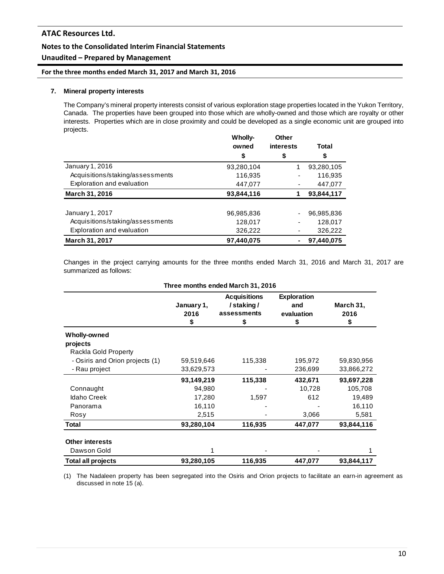# **Unaudited – Prepared by Management**

**For the three months ended March 31, 2017 and March 31, 2016**

# **7. Mineral property interests**

The Company's mineral property interests consist of various exploration stage properties located in the Yukon Territory, Canada. The properties have been grouped into those which are wholly-owned and those which are royalty or other interests. Properties which are in close proximity and could be developed as a single economic unit are grouped into projects.

|                                  | Wholly-<br>owned | Other<br><b>interests</b> | Total      |
|----------------------------------|------------------|---------------------------|------------|
|                                  | \$               | \$                        | \$         |
| January 1, 2016                  | 93,280,104       |                           | 93,280,105 |
| Acquisitions/staking/assessments | 116,935          |                           | 116,935    |
| Exploration and evaluation       | 447,077          |                           | 447,077    |
| <b>March 31, 2016</b>            | 93,844,116       |                           | 93,844,117 |
| January 1, 2017                  | 96,985,836       |                           | 96,985,836 |
| Acquisitions/staking/assessments | 128,017          |                           | 128,017    |
| Exploration and evaluation       | 326,222          |                           | 326,222    |
| <b>March 31, 2017</b>            | 97,440,075       |                           | 97,440,075 |

Changes in the project carrying amounts for the three months ended March 31, 2016 and March 31, 2017 are summarized as follows:

| Three months ended March 31, 2016 |                          |                                                       |                                               |                         |  |  |
|-----------------------------------|--------------------------|-------------------------------------------------------|-----------------------------------------------|-------------------------|--|--|
|                                   | January 1,<br>2016<br>\$ | <b>Acquisitions</b><br>/staking/<br>assessments<br>\$ | <b>Exploration</b><br>and<br>evaluation<br>\$ | March 31,<br>2016<br>\$ |  |  |
| Wholly-owned                      |                          |                                                       |                                               |                         |  |  |
| projects<br>Rackla Gold Property  |                          |                                                       |                                               |                         |  |  |
| - Osiris and Orion projects (1)   | 59,519,646               | 115,338                                               | 195,972                                       | 59,830,956              |  |  |
| - Rau project                     | 33,629,573               |                                                       | 236,699                                       | 33,866,272              |  |  |
|                                   | 93,149,219               | 115,338                                               | 432,671                                       | 93,697,228              |  |  |
| Connaught                         | 94,980                   |                                                       | 10,728                                        | 105,708                 |  |  |
| <b>Idaho Creek</b>                | 17,280                   | 1,597                                                 | 612                                           | 19,489                  |  |  |
| Panorama                          | 16,110                   |                                                       |                                               | 16,110                  |  |  |
| Rosy                              | 2,515                    |                                                       | 3,066                                         | 5,581                   |  |  |
| Total                             | 93,280,104               | 116,935                                               | 447,077                                       | 93,844,116              |  |  |
| <b>Other interests</b>            |                          |                                                       |                                               |                         |  |  |
| Dawson Gold                       |                          |                                                       |                                               |                         |  |  |
| Total all projects                | 93,280,105               | 116,935                                               | 447,077                                       | 93,844,117              |  |  |

(1) The Nadaleen property has been segregated into the Osiris and Orion projects to facilitate an earn-in agreement as discussed in note 15 (a).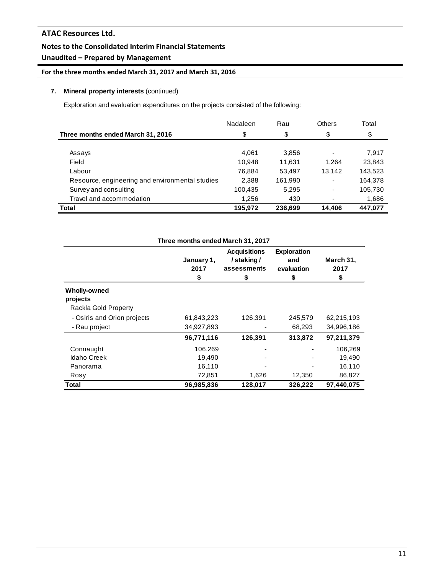# **Unaudited – Prepared by Management**

**For the three months ended March 31, 2017 and March 31, 2016**

# **7. Mineral property interests** (continued)

Exploration and evaluation expenditures on the projects consisted of the following:

|                                                 | Nadaleen | Rau     | Others | Total   |
|-------------------------------------------------|----------|---------|--------|---------|
| Three months ended March 31, 2016               | \$       | \$      | \$     | \$      |
|                                                 |          |         |        |         |
| Assays                                          | 4.061    | 3,856   | -      | 7.917   |
| Field                                           | 10.948   | 11.631  | 1.264  | 23,843  |
| Labour                                          | 76.884   | 53,497  | 13,142 | 143,523 |
| Resource, engineering and environmental studies | 2,388    | 161,990 | ۰      | 164,378 |
| Survey and consulting                           | 100,435  | 5,295   | ۰      | 105,730 |
| Travel and accommodation                        | 1,256    | 430     |        | 1,686   |
| <b>Total</b>                                    | 195,972  | 236,699 | 14.406 | 447,077 |

| Three months ended March 31, 2017 |                          |                                                       |                                               |                         |  |  |  |
|-----------------------------------|--------------------------|-------------------------------------------------------|-----------------------------------------------|-------------------------|--|--|--|
|                                   | January 1,<br>2017<br>\$ | <b>Acquisitions</b><br>/staking/<br>assessments<br>\$ | <b>Exploration</b><br>and<br>evaluation<br>\$ | March 31,<br>2017<br>\$ |  |  |  |
| Wholly-owned                      |                          |                                                       |                                               |                         |  |  |  |
| projects                          |                          |                                                       |                                               |                         |  |  |  |
| Rackla Gold Property              |                          |                                                       |                                               |                         |  |  |  |
| - Osiris and Orion projects       | 61,843,223               | 126,391                                               | 245,579                                       | 62,215,193              |  |  |  |
| - Rau project                     | 34,927,893               |                                                       | 68,293                                        | 34,996,186              |  |  |  |
|                                   | 96,771,116               | 126,391                                               | 313,872                                       | 97,211,379              |  |  |  |
| Connaught                         | 106,269                  |                                                       |                                               | 106,269                 |  |  |  |
| <b>Idaho Creek</b>                | 19,490                   |                                                       |                                               | 19.490                  |  |  |  |
| Panorama                          | 16,110                   |                                                       |                                               | 16,110                  |  |  |  |
| Rosy                              | 72,851                   | 1,626                                                 | 12,350                                        | 86,827                  |  |  |  |
| Total                             | 96,985,836               | 128,017                                               | 326,222                                       | 97.440.075              |  |  |  |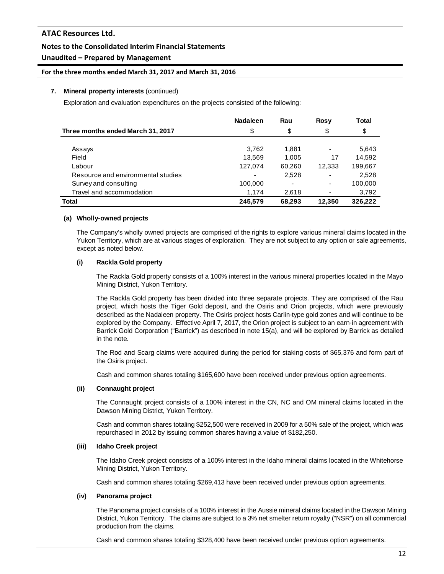# **Unaudited – Prepared by Management**

#### **For the three months ended March 31, 2017 and March 31, 2016**

#### **7. Mineral property interests** (continued)

Exploration and evaluation expenditures on the projects consisted of the following:

|                                    | <b>Nadaleen</b> | Rau                      | <b>Rosy</b> | Total   |
|------------------------------------|-----------------|--------------------------|-------------|---------|
| Three months ended March 31, 2017  | \$              | \$                       | \$          | \$      |
|                                    |                 |                          |             |         |
| Assays                             | 3.762           | 1,881                    |             | 5,643   |
| Field                              | 13.569          | 1,005                    | 17          | 14,592  |
| Labour                             | 127,074         | 60,260                   | 12,333      | 199,667 |
| Resource and environmental studies |                 | 2,528                    |             | 2,528   |
| Survey and consulting              | 100,000         | $\overline{\phantom{0}}$ |             | 100,000 |
| Travel and accommodation           | 1.174           | 2.618                    | ٠           | 3,792   |
| Total                              | 245,579         | 68,293                   | 12,350      | 326,222 |

#### **(a) Wholly-owned projects**

The Company's wholly owned projects are comprised of the rights to explore various mineral claims located in the Yukon Territory, which are at various stages of exploration. They are not subject to any option or sale agreements, except as noted below.

## **(i) Rackla Gold property**

The Rackla Gold property consists of a 100% interest in the various mineral properties located in the Mayo Mining District, Yukon Territory.

The Rackla Gold property has been divided into three separate projects. They are comprised of the Rau project, which hosts the Tiger Gold deposit, and the Osiris and Orion projects, which were previously described as the Nadaleen property. The Osiris project hosts Carlin-type gold zones and will continue to be explored by the Company. Effective April 7, 2017, the Orion project is subject to an earn-in agreement with Barrick Gold Corporation ("Barrick") as described in note 15(a), and will be explored by Barrick as detailed in the note.

The Rod and Scarg claims were acquired during the period for staking costs of \$65,376 and form part of the Osiris project.

Cash and common shares totaling \$165,600 have been received under previous option agreements.

#### **(ii) Connaught project**

The Connaught project consists of a 100% interest in the CN, NC and OM mineral claims located in the Dawson Mining District, Yukon Territory.

Cash and common shares totaling \$252,500 were received in 2009 for a 50% sale of the project, which was repurchased in 2012 by issuing common shares having a value of \$182,250.

#### **(iii) Idaho Creek project**

The Idaho Creek project consists of a 100% interest in the Idaho mineral claims located in the Whitehorse Mining District, Yukon Territory.

Cash and common shares totaling \$269,413 have been received under previous option agreements.

#### **(iv) Panorama project**

The Panorama project consists of a 100% interest in the Aussie mineral claims located in the Dawson Mining District, Yukon Territory. The claims are subject to a 3% net smelter return royalty ("NSR") on all commercial production from the claims.

Cash and common shares totaling \$328,400 have been received under previous option agreements.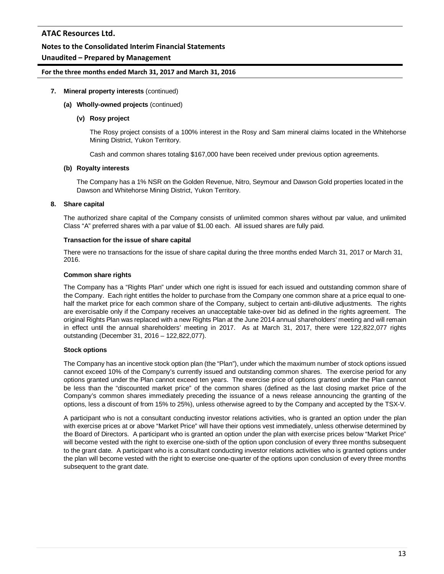# **Unaudited – Prepared by Management**

## **For the three months ended March 31, 2017 and March 31, 2016**

## **7. Mineral property interests** (continued)

#### **(a) Wholly-owned projects** (continued)

#### **(v) Rosy project**

The Rosy project consists of a 100% interest in the Rosy and Sam mineral claims located in the Whitehorse Mining District, Yukon Territory.

Cash and common shares totaling \$167,000 have been received under previous option agreements.

#### **(b) Royalty interests**

The Company has a 1% NSR on the Golden Revenue, Nitro, Seymour and Dawson Gold properties located in the Dawson and Whitehorse Mining District, Yukon Territory.

## **8. Share capital**

The authorized share capital of the Company consists of unlimited common shares without par value, and unlimited Class "A" preferred shares with a par value of \$1.00 each. All issued shares are fully paid.

#### **Transaction for the issue of share capital**

There were no transactions for the issue of share capital during the three months ended March 31, 2017 or March 31, 2016.

## **Common share rights**

The Company has a "Rights Plan" under which one right is issued for each issued and outstanding common share of the Company. Each right entitles the holder to purchase from the Company one common share at a price equal to onehalf the market price for each common share of the Company, subject to certain anti-dilutive adjustments. The rights are exercisable only if the Company receives an unacceptable take-over bid as defined in the rights agreement. The original Rights Plan was replaced with a new Rights Plan at the June 2014 annual shareholders' meeting and will remain in effect until the annual shareholders' meeting in 2017. As at March 31, 2017, there were 122,822,077 rights outstanding (December 31, 2016 – 122,822,077).

# **Stock options**

The Company has an incentive stock option plan (the "Plan"), under which the maximum number of stock options issued cannot exceed 10% of the Company's currently issued and outstanding common shares. The exercise period for any options granted under the Plan cannot exceed ten years. The exercise price of options granted under the Plan cannot be less than the "discounted market price" of the common shares (defined as the last closing market price of the Company's common shares immediately preceding the issuance of a news release announcing the granting of the options, less a discount of from 15% to 25%), unless otherwise agreed to by the Company and accepted by the TSX-V.

A participant who is not a consultant conducting investor relations activities, who is granted an option under the plan with exercise prices at or above "Market Price" will have their options vest immediately, unless otherwise determined by the Board of Directors. A participant who is granted an option under the plan with exercise prices below "Market Price" will become vested with the right to exercise one-sixth of the option upon conclusion of every three months subsequent to the grant date. A participant who is a consultant conducting investor relations activities who is granted options under the plan will become vested with the right to exercise one-quarter of the options upon conclusion of every three months subsequent to the grant date.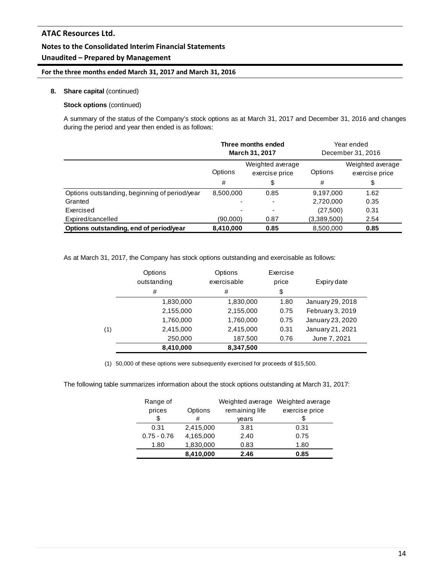# **Unaudited – Prepared by Management**

# **For the three months ended March 31, 2017 and March 31, 2016**

## **8. Share capital** (continued)

## **Stock options** (continued)

A summary of the status of the Company's stock options as at March 31, 2017 and December 31, 2016 and changes during the period and year then ended is as follows:

|                                               | Three months ended<br>March 31, 2017          |      |             | Year ended<br>December 31, 2016    |
|-----------------------------------------------|-----------------------------------------------|------|-------------|------------------------------------|
|                                               | Weighted average<br>Options<br>exercise price |      | Options     | Weighted average<br>exercise price |
|                                               | #                                             | \$   | #           | \$                                 |
| Options outstanding, beginning of period/year | 8,500,000                                     | 0.85 | 9,197,000   | 1.62                               |
| Granted                                       |                                               |      | 2,720,000   | 0.35                               |
| Exercised                                     |                                               | ٠    | (27,500)    | 0.31                               |
| Expired/cancelled                             | (90,000)                                      | 0.87 | (3,389,500) | 2.54                               |
| Options outstanding, end of period/year       | 8,410,000                                     | 0.85 | 8,500,000   | 0.85                               |

As at March 31, 2017, the Company has stock options outstanding and exercisable as follows:

|     | Options<br>outstanding | Options<br>exercisable | Exercise<br>price | Expiry date      |
|-----|------------------------|------------------------|-------------------|------------------|
|     | #                      | #                      | \$                |                  |
|     | 1,830,000              | 1,830,000              | 1.80              | January 29, 2018 |
|     | 2,155,000              | 2,155,000              | 0.75              | February 3, 2019 |
|     | 1,760,000              | 1,760,000              | 0.75              | January 23, 2020 |
| (1) | 2,415,000              | 2,415,000              | 0.31              | January 21, 2021 |
|     | 250,000                | 187,500                | 0.76              | June 7, 2021     |
|     | 8,410,000              | 8,347,500              |                   |                  |

(1) 50,000 of these options were subsequently exercised for proceeds of \$15,500.

The following table summarizes information about the stock options outstanding at March 31, 2017:

| Range of      |           | Weighted average | Weighted average |
|---------------|-----------|------------------|------------------|
| prices        | Options   | remaining life   | exercise price   |
| \$            | #         | vears            |                  |
| 0.31          | 2,415,000 | 3.81             | 0.31             |
| $0.75 - 0.76$ | 4,165,000 | 2.40             | 0.75             |
| 1.80          | 1,830,000 | 0.83             | 1.80             |
|               | 8,410,000 | 2.46             | 0.85             |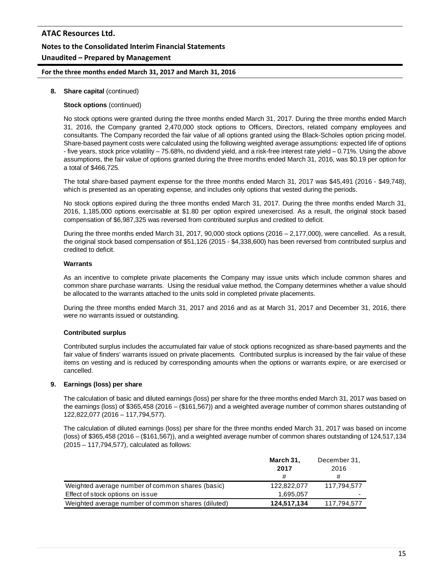# **ATAC Resources Ltd. Notes to the Consolidated Interim Financial Statements Unaudited – Prepared by Management**

# **For the three months ended March 31, 2017 and March 31, 2016**

# **8. Share capital** (continued)

# **Stock options** (continued)

No stock options were granted during the three months ended March 31, 2017. During the three months ended March 31, 2016, the Company granted 2,470,000 stock options to Officers, Directors, related company employees and consultants. The Company recorded the fair value of all options granted using the Black-Scholes option pricing model. Share-based payment costs were calculated using the following weighted average assumptions: expected life of options - five years, stock price volatility – 75.68%, no dividend yield, and a risk-free interest rate yield – 0.71%. Using the above assumptions, the fair value of options granted during the three months ended March 31, 2016, was \$0.19 per option for a total of \$466,725.

The total share-based payment expense for the three months ended March 31, 2017 was \$45,491 (2016 - \$49,748), which is presented as an operating expense, and includes only options that vested during the periods.

No stock options expired during the three months ended March 31, 2017. During the three months ended March 31, 2016, 1,185,000 options exercisable at \$1.80 per option expired unexercised. As a result, the original stock based compensation of \$6,987,325 was reversed from contributed surplus and credited to deficit.

During the three months ended March 31, 2017, 90,000 stock options (2016 – 2,177,000), were cancelled. As a result, the original stock based compensation of \$51,126 (2015 - \$4,338,600) has been reversed from contributed surplus and credited to deficit.

## **Warrants**

As an incentive to complete private placements the Company may issue units which include common shares and common share purchase warrants. Using the residual value method, the Company determines whether a value should be allocated to the warrants attached to the units sold in completed private placements.

During the three months ended March 31, 2017 and 2016 and as at March 31, 2017 and December 31, 2016, there were no warrants issued or outstanding.

# **Contributed surplus**

Contributed surplus includes the accumulated fair value of stock options recognized as share-based payments and the fair value of finders' warrants issued on private placements. Contributed surplus is increased by the fair value of these items on vesting and is reduced by corresponding amounts when the options or warrants expire, or are exercised or cancelled.

# **9. Earnings (loss) per share**

The calculation of basic and diluted earnings (loss) per share for the three months ended March 31, 2017 was based on the earnings (loss) of \$365,458 (2016 – (\$161,567)) and a weighted average number of common shares outstanding of 122,822,077 (2016 – 117,794,577).

The calculation of diluted earnings (loss) per share for the three months ended March 31, 2017 was based on income (loss) of \$365,458 (2016 – (\$161,567)), and a weighted average number of common shares outstanding of 124,517,134 (2015 – 117,794,577), calculated as follows:

|                                                    | March 31,<br>2017 | December 31,<br>2016 |
|----------------------------------------------------|-------------------|----------------------|
|                                                    | #                 | #                    |
| Weighted average number of common shares (basic)   | 122,822,077       | 117.794.577          |
| Effect of stock options on issue                   | 1.695.057         | ۰                    |
| Weighted average number of common shares (diluted) | 124,517,134       | 117,794,577          |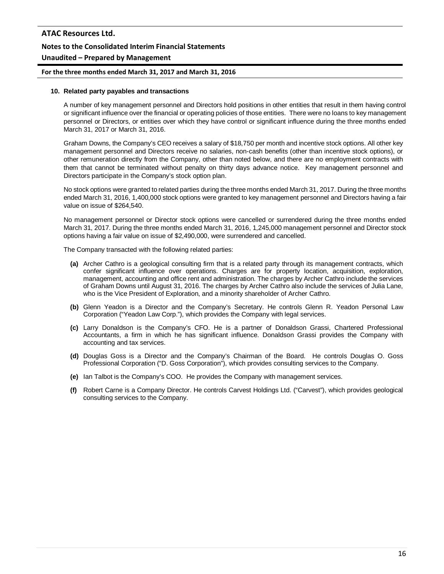# **For the three months ended March 31, 2017 and March 31, 2016**

## **10. Related party payables and transactions**

A number of key management personnel and Directors hold positions in other entities that result in them having control or significant influence over the financial or operating policies of those entities. There were no loans to key management personnel or Directors, or entities over which they have control or significant influence during the three months ended March 31, 2017 or March 31, 2016.

Graham Downs, the Company's CEO receives a salary of \$18,750 per month and incentive stock options. All other key management personnel and Directors receive no salaries, non-cash benefits (other than incentive stock options), or other remuneration directly from the Company, other than noted below, and there are no employment contracts with them that cannot be terminated without penalty on thirty days advance notice. Key management personnel and Directors participate in the Company's stock option plan.

No stock options were granted to related parties during the three months ended March 31, 2017. During the three months ended March 31, 2016, 1,400,000 stock options were granted to key management personnel and Directors having a fair value on issue of \$264,540.

No management personnel or Director stock options were cancelled or surrendered during the three months ended March 31, 2017. During the three months ended March 31, 2016, 1,245,000 management personnel and Director stock options having a fair value on issue of \$2,490,000, were surrendered and cancelled.

The Company transacted with the following related parties:

- **(a)** Archer Cathro is a geological consulting firm that is a related party through its management contracts, which confer significant influence over operations. Charges are for property location, acquisition, exploration, management, accounting and office rent and administration. The charges by Archer Cathro include the services of Graham Downs until August 31, 2016. The charges by Archer Cathro also include the services of Julia Lane, who is the Vice President of Exploration, and a minority shareholder of Archer Cathro.
- **(b)** Glenn Yeadon is a Director and the Company's Secretary. He controls Glenn R. Yeadon Personal Law Corporation ("Yeadon Law Corp."), which provides the Company with legal services.
- **(c)** Larry Donaldson is the Company's CFO. He is a partner of Donaldson Grassi, Chartered Professional Accountants, a firm in which he has significant influence. Donaldson Grassi provides the Company with accounting and tax services.
- **(d)** Douglas Goss is a Director and the Company's Chairman of the Board. He controls Douglas O. Goss Professional Corporation ("D. Goss Corporation"), which provides consulting services to the Company.
- **(e)** Ian Talbot is the Company's COO. He provides the Company with management services.
- **(f)** Robert Carne is a Company Director. He controls Carvest Holdings Ltd. ("Carvest"), which provides geological consulting services to the Company.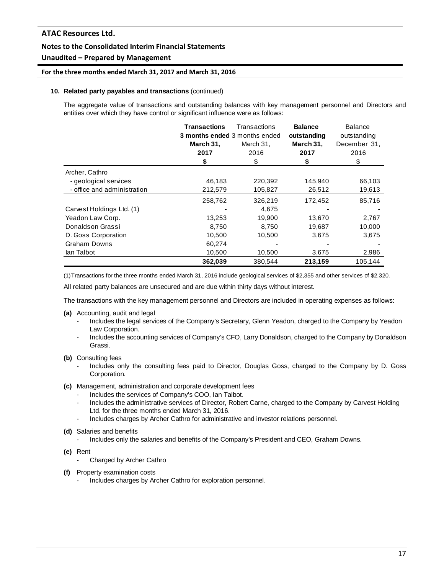# **Unaudited – Prepared by Management**

#### **For the three months ended March 31, 2017 and March 31, 2016**

#### **10. Related party payables and transactions** (continued)

The aggregate value of transactions and outstanding balances with key management personnel and Directors and entities over which they have control or significant influence were as follows:

|                             | <b>Transactions</b><br>3 months ended 3 months ended | Transactions | <b>Balance</b><br>outstanding | <b>Balance</b><br>outstanding |
|-----------------------------|------------------------------------------------------|--------------|-------------------------------|-------------------------------|
|                             | March 31,                                            | March 31,    | March 31,                     | December 31,                  |
|                             | 2017                                                 | 2016         | 2017                          | 2016                          |
|                             | \$                                                   | \$           | \$                            | \$                            |
| Archer, Cathro              |                                                      |              |                               |                               |
| - geological services       | 46,183                                               | 220,392      | 145,940                       | 66,103                        |
| - office and administration | 212,579                                              | 105,827      | 26,512                        | 19,613                        |
|                             | 258,762                                              | 326,219      | 172,452                       | 85,716                        |
| Carvest Holdings Ltd. (1)   |                                                      | 4,675        |                               |                               |
| Yeadon Law Corp.            | 13,253                                               | 19,900       | 13,670                        | 2,767                         |
| Donaldson Grassi            | 8,750                                                | 8.750        | 19,687                        | 10,000                        |
| D. Goss Corporation         | 10,500                                               | 10,500       | 3,675                         | 3,675                         |
| <b>Graham Downs</b>         | 60,274                                               |              |                               |                               |
| lan Talbot                  | 10,500                                               | 10,500       | 3,675                         | 2,986                         |
|                             | 362,039                                              | 380,544      | 213,159                       | 105,144                       |

(1)Transactions for the three months ended March 31, 2016 include geological services of \$2,355 and other services of \$2,320.

All related party balances are unsecured and are due within thirty days without interest.

The transactions with the key management personnel and Directors are included in operating expenses as follows:

- **(a)** Accounting, audit and legal
	- Includes the legal services of the Company's Secretary, Glenn Yeadon, charged to the Company by Yeadon Law Corporation.
	- Includes the accounting services of Company's CFO, Larry Donaldson, charged to the Company by Donaldson Grassi.
- **(b)** Consulting fees
	- Includes only the consulting fees paid to Director, Douglas Goss, charged to the Company by D. Goss Corporation.
- **(c)** Management, administration and corporate development fees
	- Includes the services of Company's COO, Ian Talbot.
	- Includes the administrative services of Director, Robert Carne, charged to the Company by Carvest Holding Ltd. for the three months ended March 31, 2016.
	- Includes charges by Archer Cathro for administrative and investor relations personnel.
- **(d)** Salaries and benefits
	- Includes only the salaries and benefits of the Company's President and CEO, Graham Downs.
- **(e)** Rent
	- Charged by Archer Cathro
- **(f)** Property examination costs
	- Includes charges by Archer Cathro for exploration personnel.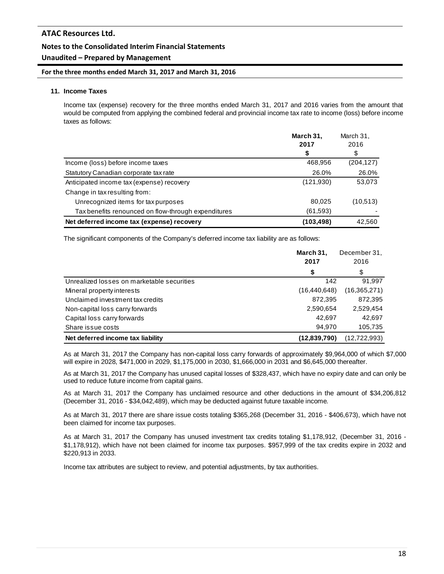# **Unaudited – Prepared by Management**

## **For the three months ended March 31, 2017 and March 31, 2016**

#### **11. Income Taxes**

Income tax (expense) recovery for the three months ended March 31, 2017 and 2016 varies from the amount that would be computed from applying the combined federal and provincial income tax rate to income (loss) before income taxes as follows:

|                                                     | March 31,  | March 31,  |  |
|-----------------------------------------------------|------------|------------|--|
|                                                     | 2017       | 2016       |  |
|                                                     | \$         | \$         |  |
| Income (loss) before income taxes                   | 468,956    | (204, 127) |  |
| Statutory Canadian corporate tax rate               | 26.0%      | 26.0%      |  |
| Anticipated income tax (expense) recovery           | (121, 930) | 53,073     |  |
| Change in tax resulting from:                       |            |            |  |
| Unrecognized items for tax purposes                 | 80,025     | (10,513)   |  |
| Tax benefits renounced on flow-through expenditures | (61, 593)  |            |  |
| Net deferred income tax (expense) recovery          | (103, 498) | 42,560     |  |

The significant components of the Company's deferred income tax liability are as follows:

|                                            | March 31,<br>2017 | December 31,<br>2016 |
|--------------------------------------------|-------------------|----------------------|
|                                            | \$                | \$                   |
| Unrealized losses on marketable securities | 142               | 91.997               |
| Mineral property interests                 | (16, 440, 648)    | (16,365,271)         |
| Unclaimed investment tax credits           | 872,395           | 872,395              |
| Non-capital loss carry forwards            | 2,590,654         | 2,529,454            |
| Capital loss carry forwards                | 42,697            | 42,697               |
| Share issue costs                          | 94.970            | 105,735              |
| Net deferred income tax liability          | (12,839,790)      | (12,722,993)         |

As at March 31, 2017 the Company has non-capital loss carry forwards of approximately \$9,964,000 of which \$7,000 will expire in 2028, \$471,000 in 2029, \$1,175,000 in 2030, \$1,666,000 in 2031 and \$6,645,000 thereafter.

As at March 31, 2017 the Company has unused capital losses of \$328,437, which have no expiry date and can only be used to reduce future income from capital gains.

As at March 31, 2017 the Company has unclaimed resource and other deductions in the amount of \$34,206,812 (December 31, 2016 - \$34,042,489), which may be deducted against future taxable income.

As at March 31, 2017 there are share issue costs totaling \$365,268 (December 31, 2016 - \$406,673), which have not been claimed for income tax purposes.

As at March 31, 2017 the Company has unused investment tax credits totaling \$1,178,912, (December 31, 2016 - \$1,178,912), which have not been claimed for income tax purposes. \$957,999 of the tax credits expire in 2032 and \$220,913 in 2033.

Income tax attributes are subject to review, and potential adjustments, by tax authorities.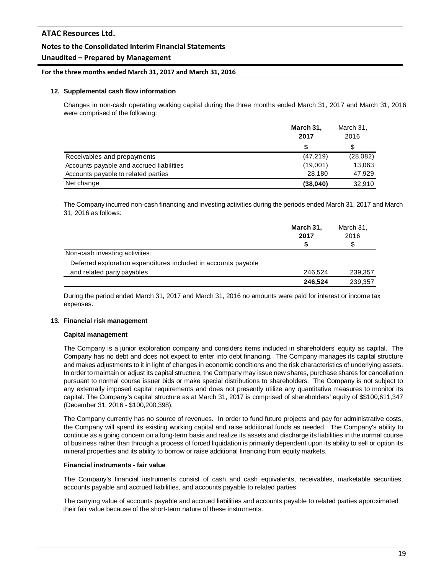## **Unaudited – Prepared by Management**

#### **For the three months ended March 31, 2017 and March 31, 2016**

#### **12. Supplemental cash flow information**

Changes in non-cash operating working capital during the three months ended March 31, 2017 and March 31, 2016 were comprised of the following:

|                                          | March 31, | March 31, |  |
|------------------------------------------|-----------|-----------|--|
|                                          | 2017      | 2016      |  |
|                                          | S         |           |  |
| Receivables and prepayments              | (47, 219) | (28,082)  |  |
| Accounts payable and accrued liabilities | (19,001)  | 13,063    |  |
| Accounts payable to related parties      | 28.180    | 47.929    |  |
| Net change                               | (38,040)  | 32,910    |  |

The Company incurred non-cash financing and investing activities during the periods ended March 31, 2017 and March 31, 2016 as follows:

|                                                                | March 31,<br>2017 | March 31,<br>2016 |
|----------------------------------------------------------------|-------------------|-------------------|
|                                                                | S                 | \$                |
| Non-cash investing activities:                                 |                   |                   |
| Deferred exploration expenditures included in accounts payable |                   |                   |
| and related party payables                                     | 246.524           | 239,357           |
|                                                                | 246.524           | 239,357           |

During the period ended March 31, 2017 and March 31, 2016 no amounts were paid for interest or income tax expenses.

#### **13. Financial risk management**

#### **Capital management**

The Company is a junior exploration company and considers items included in shareholders' equity as capital. The Company has no debt and does not expect to enter into debt financing. The Company manages its capital structure and makes adjustments to it in light of changes in economic conditions and the risk characteristics of underlying assets. In order to maintain or adjust its capital structure, the Company may issue new shares, purchase shares for cancellation pursuant to normal course issuer bids or make special distributions to shareholders. The Company is not subject to any externally imposed capital requirements and does not presently utilize any quantitative measures to monitor its capital. The Company's capital structure as at March 31, 2017 is comprised of shareholders' equity of \$\$100,611,347 (December 31, 2016 - \$100,200,398).

The Company currently has no source of revenues. In order to fund future projects and pay for administrative costs, the Company will spend its existing working capital and raise additional funds as needed. The Company's ability to continue as a going concern on a long-term basis and realize its assets and discharge its liabilities in the normal course of business rather than through a process of forced liquidation is primarily dependent upon its ability to sell or option its mineral properties and its ability to borrow or raise additional financing from equity markets.

#### **Financial instruments - fair value**

The Company's financial instruments consist of cash and cash equivalents, receivables, marketable securities, accounts payable and accrued liabilities, and accounts payable to related parties.

The carrying value of accounts payable and accrued liabilities and accounts payable to related parties approximated their fair value because of the short-term nature of these instruments.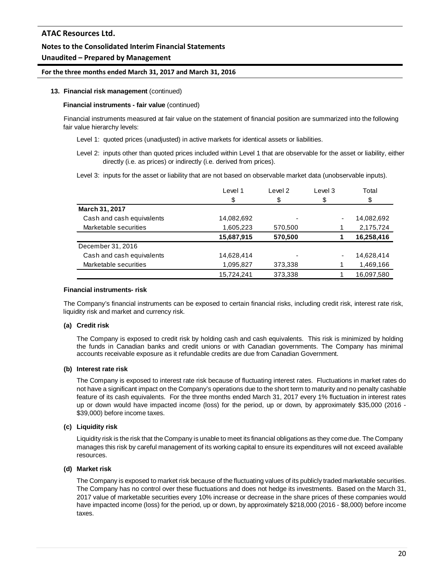# **Unaudited – Prepared by Management**

## **For the three months ended March 31, 2017 and March 31, 2016**

#### **13. Financial risk management** (continued)

#### **Financial instruments - fair value** (continued)

Financial instruments measured at fair value on the statement of financial position are summarized into the following fair value hierarchy levels:

Level 1: quoted prices (unadjusted) in active markets for identical assets or liabilities.

Level 2: inputs other than quoted prices included within Level 1 that are observable for the asset or liability, either directly (i.e. as prices) or indirectly (i.e. derived from prices).

Level 3: inputs for the asset or liability that are not based on observable market data (unobservable inputs).

|                           | Level 1    | Level 2 | Level 3                  | Total      |
|---------------------------|------------|---------|--------------------------|------------|
|                           | \$         | \$      | \$                       | \$         |
| March 31, 2017            |            |         |                          |            |
| Cash and cash equivalents | 14,082,692 |         |                          | 14,082,692 |
| Marketable securities     | 1,605,223  | 570,500 |                          | 2,175,724  |
|                           | 15,687,915 | 570,500 |                          | 16,258,416 |
| December 31, 2016         |            |         |                          |            |
| Cash and cash equivalents | 14,628,414 |         | $\overline{\phantom{0}}$ | 14,628,414 |
| Marketable securities     | 1,095,827  | 373,338 |                          | 1,469,166  |
|                           | 15.724.241 | 373,338 |                          | 16,097,580 |

#### **Financial instruments- risk**

The Company's financial instruments can be exposed to certain financial risks, including credit risk, interest rate risk, liquidity risk and market and currency risk.

# **(a) Credit risk**

The Company is exposed to credit risk by holding cash and cash equivalents. This risk is minimized by holding the funds in Canadian banks and credit unions or with Canadian governments. The Company has minimal accounts receivable exposure as it refundable credits are due from Canadian Government.

# **(b) Interest rate risk**

The Company is exposed to interest rate risk because of fluctuating interest rates. Fluctuations in market rates do not have a significant impact on the Company's operations due to the short term to maturity and no penalty cashable feature of its cash equivalents. For the three months ended March 31, 2017 every 1% fluctuation in interest rates up or down would have impacted income (loss) for the period, up or down, by approximately \$35,000 (2016 - \$39,000) before income taxes.

# **(c) Liquidity risk**

Liquidity risk is the risk that the Company is unable to meet its financial obligations as they come due. The Company manages this risk by careful management of its working capital to ensure its expenditures will not exceed available resources.

# **(d) Market risk**

The Company is exposed to market risk because of the fluctuating values of its publicly traded marketable securities. The Company has no control over these fluctuations and does not hedge its investments. Based on the March 31, 2017 value of marketable securities every 10% increase or decrease in the share prices of these companies would have impacted income (loss) for the period, up or down, by approximately \$218,000 (2016 - \$8,000) before income taxes.